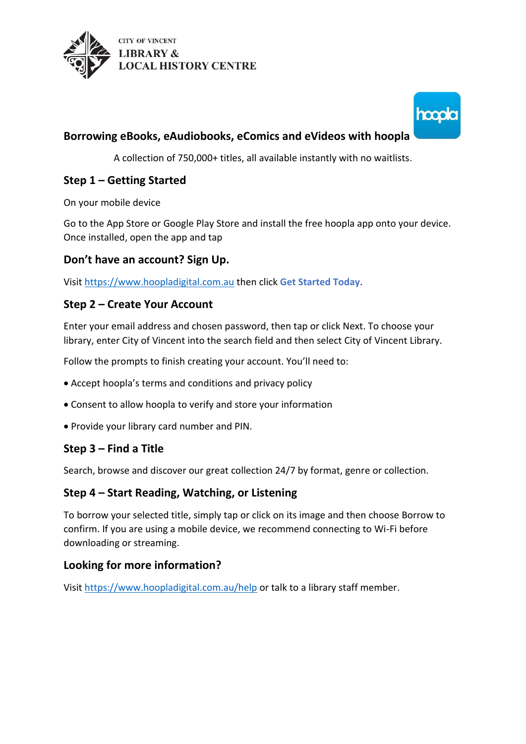



# **Borrowing eBooks, eAudiobooks, eComics and eVideos with hoopla**

A collection of 750,000+ titles, all available instantly with no waitlists.

## **Step 1 – Getting Started**

On your mobile device

Go to the App Store or Google Play Store and install the free hoopla app onto your device. Once installed, open the app and tap

### **Don't have an account? Sign Up.**

Visi[t https://www.hoopladigital.com.au](https://www.hoopladigital.com.au/) then click **Get Started Today**.

### **Step 2 – Create Your Account**

Enter your email address and chosen password, then tap or click Next. To choose your library, enter City of Vincent into the search field and then select City of Vincent Library.

Follow the prompts to finish creating your account. You'll need to:

- Accept hoopla's terms and conditions and privacy policy
- Consent to allow hoopla to verify and store your information
- Provide your library card number and PIN.

## **Step 3 – Find a Title**

Search, browse and discover our great collection 24/7 by format, genre or collection.

## **Step 4 – Start Reading, Watching, or Listening**

To borrow your selected title, simply tap or click on its image and then choose Borrow to confirm. If you are using a mobile device, we recommend connecting to Wi-Fi before downloading or streaming.

## **Looking for more information?**

Visi[t https://www.hoopladigital.com.au/help](https://www.hoopladigital.com.au/help) or talk to a library staff member.